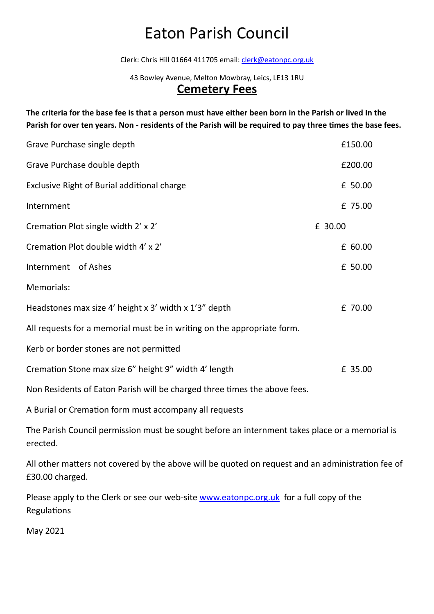Clerk: Chris Hill 01664 411705 email: [clerk@eatonpc.org.uk](mailto:clerk@eatonpc.org.uk)

43 Bowley Avenue, Melton Mowbray, Leics, LE13 1RU

### **Cemetery Fees**

**The criteria for the base fee is that a person must have either been born in the Parish or lived In the Parish for over ten years. Non - residents of the Parish will be required to pay three times the base fees.**

| Grave Purchase single depth                                               | £150.00 |
|---------------------------------------------------------------------------|---------|
| Grave Purchase double depth                                               | £200.00 |
| Exclusive Right of Burial additional charge                               | £ 50.00 |
| Internment                                                                | £ 75.00 |
| Cremation Plot single width 2' x 2'                                       | £ 30.00 |
| Cremation Plot double width 4' x 2'                                       | £ 60.00 |
| Internment of Ashes                                                       | £ 50.00 |
| Memorials:                                                                |         |
| Headstones max size 4' height x 3' width x 1'3" depth                     | £ 70.00 |
| All requests for a memorial must be in writing on the appropriate form.   |         |
| Kerb or border stones are not permitted                                   |         |
| Cremation Stone max size 6" height 9" width 4' length                     | £ 35.00 |
| Non Residents of Eaton Parish will be charged three times the above fees. |         |

A Burial or Cremation form must accompany all requests

The Parish Council permission must be sought before an internment takes place or a memorial is erected.

All other matters not covered by the above will be quoted on request and an administration fee of £30.00 charged.

Please apply to the Clerk or see our web-site [www.eatonpc.org.uk](http://www.eatonpc.org.uk) for a full copy of the **Regulations** 

May 2021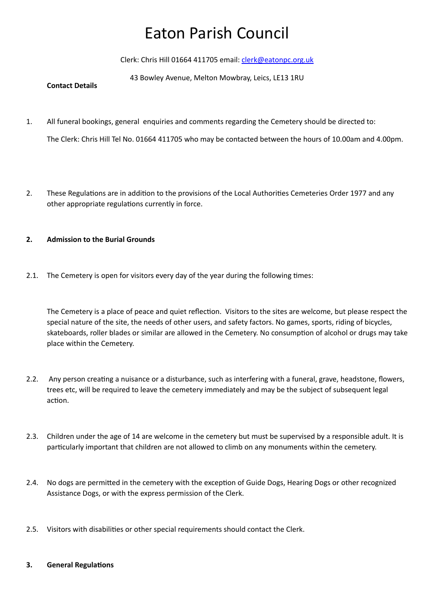Clerk: Chris Hill 01664 411705 email: [clerk@eatonpc.org.uk](mailto:clerk@eatonpc.org.uk)

43 Bowley Avenue, Melton Mowbray, Leics, LE13 1RU

#### **Contact Details**

1. All funeral bookings, general enquiries and comments regarding the Cemetery should be directed to:

The Clerk: Chris Hill Tel No. 01664 411705 who may be contacted between the hours of 10.00am and 4.00pm.

2. These Regulations are in addition to the provisions of the Local Authorities Cemeteries Order 1977 and any other appropriate regulations currently in force.

### **2. Admission to the Burial Grounds**

2.1. The Cemetery is open for visitors every day of the year during the following times:

The Cemetery is a place of peace and quiet reflection. Visitors to the sites are welcome, but please respect the special nature of the site, the needs of other users, and safety factors. No games, sports, riding of bicycles, skateboards, roller blades or similar are allowed in the Cemetery. No consumption of alcohol or drugs may take place within the Cemetery.

- 2.2. Any person creating a nuisance or a disturbance, such as interfering with a funeral, grave, headstone, flowers, trees etc, will be required to leave the cemetery immediately and may be the subject of subsequent legal action.
- 2.3. Children under the age of 14 are welcome in the cemetery but must be supervised by a responsible adult. It is particularly important that children are not allowed to climb on any monuments within the cemetery.
- 2.4. No dogs are permitted in the cemetery with the exception of Guide Dogs, Hearing Dogs or other recognized Assistance Dogs, or with the express permission of the Clerk.
- 2.5. Visitors with disabilities or other special requirements should contact the Clerk.

#### **3. General Regulations**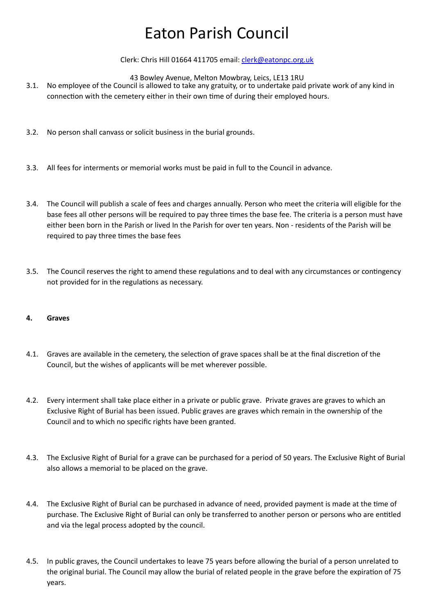#### Clerk: Chris Hill 01664 411705 email: [clerk@eatonpc.org.uk](mailto:clerk@eatonpc.org.uk)

43 Bowley Avenue, Melton Mowbray, Leics, LE13 1RU

- 3.1. No employee of the Council is allowed to take any gratuity, or to undertake paid private work of any kind in connection with the cemetery either in their own time of during their employed hours.
- 3.2. No person shall canvass or solicit business in the burial grounds.
- 3.3. All fees for interments or memorial works must be paid in full to the Council in advance.
- 3.4. The Council will publish a scale of fees and charges annually. Person who meet the criteria will eligible for the base fees all other persons will be required to pay three times the base fee. The criteria is a person must have either been born in the Parish or lived In the Parish for over ten years. Non - residents of the Parish will be required to pay three times the base fees
- 3.5. The Council reserves the right to amend these regulations and to deal with any circumstances or contingency not provided for in the regulations as necessary.

#### **4. Graves**

- 4.1. Graves are available in the cemetery, the selection of grave spaces shall be at the final discretion of the Council, but the wishes of applicants will be met wherever possible.
- 4.2. Every interment shall take place either in a private or public grave. Private graves are graves to which an Exclusive Right of Burial has been issued. Public graves are graves which remain in the ownership of the Council and to which no specific rights have been granted.
- 4.3. The Exclusive Right of Burial for a grave can be purchased for a period of 50 years. The Exclusive Right of Burial also allows a memorial to be placed on the grave.
- 4.4. The Exclusive Right of Burial can be purchased in advance of need, provided payment is made at the time of purchase. The Exclusive Right of Burial can only be transferred to another person or persons who are entitled and via the legal process adopted by the council.
- 4.5. In public graves, the Council undertakes to leave 75 years before allowing the burial of a person unrelated to the original burial. The Council may allow the burial of related people in the grave before the expiration of 75 years.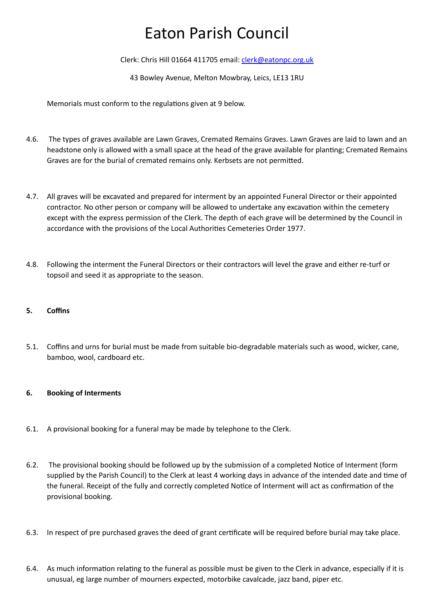Clerk: Chris Hill 01664 411705 email: [clerk@eatonpc.org.uk](mailto:clerk@eatonpc.org.uk)

43 Bowley Avenue, Melton Mowbray, Leics, LE13 1RU

Memorials must conform to the regulations given at 9 below.

- 4.6. The types of graves available are Lawn Graves, Cremated Remains Graves. Lawn Graves are laid to lawn and an headstone only is allowed with a small space at the head of the grave available for planting; Cremated Remains Graves are for the burial of cremated remains only. Kerbsets are not permitted.
- 4.7. All graves will be excavated and prepared for interment by an appointed Funeral Director or their appointed contractor. No other person or company will be allowed to undertake any excavation within the cemetery except with the express permission of the Clerk. The depth of each grave will be determined by the Council in accordance with the provisions of the Local Authorities Cemeteries Order 1977.
- 4.8. Following the interment the Funeral Directors or their contractors will level the grave and either re-turf or topsoil and seed it as appropriate to the season.

#### **5. Coffins**

5.1. Coffins and urns for burial must be made from suitable bio-degradable materials such as wood, wicker, cane, bamboo, wool, cardboard etc.

### **6. Booking of Interments**

- 6.1. A provisional booking for a funeral may be made by telephone to the Clerk.
- 6.2. The provisional booking should be followed up by the submission of a completed Notice of Interment (form supplied by the Parish Council) to the Clerk at least 4 working days in advance of the intended date and time of the funeral. Receipt of the fully and correctly completed Notice of Interment will act as confirmation of the provisional booking.
- 6.3. In respect of pre purchased graves the deed of grant certificate will be required before burial may take place.
- 6.4. As much information relating to the funeral as possible must be given to the Clerk in advance, especially if it is unusual, eg large number of mourners expected, motorbike cavalcade, jazz band, piper etc.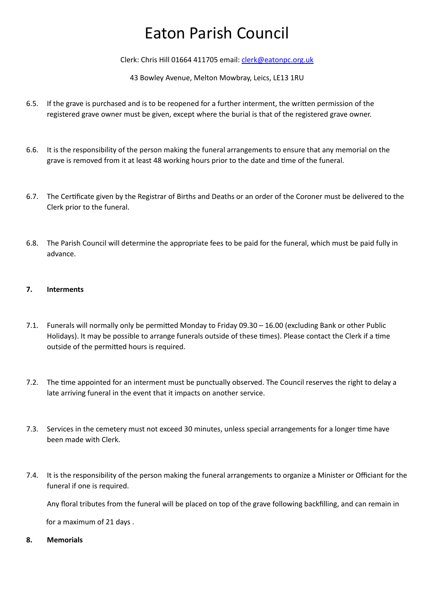Clerk: Chris Hill 01664 411705 email: [clerk@eatonpc.org.uk](mailto:clerk@eatonpc.org.uk)

43 Bowley Avenue, Melton Mowbray, Leics, LE13 1RU

- 6.5. If the grave is purchased and is to be reopened for a further interment, the written permission of the registered grave owner must be given, except where the burial is that of the registered grave owner.
- 6.6. It is the responsibility of the person making the funeral arrangements to ensure that any memorial on the grave is removed from it at least 48 working hours prior to the date and time of the funeral.
- 6.7. The Certificate given by the Registrar of Births and Deaths or an order of the Coroner must be delivered to the Clerk prior to the funeral.
- 6.8. The Parish Council will determine the appropriate fees to be paid for the funeral, which must be paid fully in advance.

### **7. Interments**

- 7.1. Funerals will normally only be permitted Monday to Friday 09.30 16.00 (excluding Bank or other Public Holidays). It may be possible to arrange funerals outside of these times). Please contact the Clerk if a time outside of the permitted hours is required.
- 7.2. The time appointed for an interment must be punctually observed. The Council reserves the right to delay a late arriving funeral in the event that it impacts on another service.
- 7.3. Services in the cemetery must not exceed 30 minutes, unless special arrangements for a longer time have been made with Clerk.
- 7.4. It is the responsibility of the person making the funeral arrangements to organize a Minister or Officiant for the funeral if one is required.

Any floral tributes from the funeral will be placed on top of the grave following backfilling, and can remain in

for a maximum of 21 days .

**8. Memorials**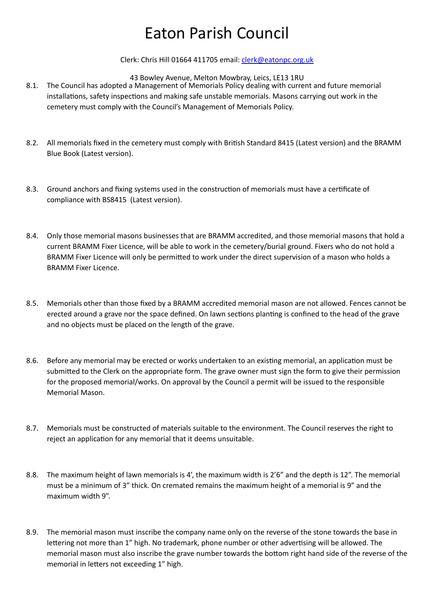Clerk: Chris Hill 01664 411705 email: [clerk@eatonpc.org.uk](mailto:clerk@eatonpc.org.uk)

43 Bowley Avenue, Melton Mowbray, Leics, LE13 1RU

- 8.1. The Council has adopted a Management of Memorials Policy dealing with current and future memorial installations, safety inspections and making safe unstable memorials. Masons carrying out work in the cemetery must comply with the Council's Management of Memorials Policy.
- 8.2. All memorials fixed in the cemetery must comply with British Standard 8415 (Latest version) and the BRAMM Blue Book (Latest version).
- 8.3. Ground anchors and fixing systems used in the construction of memorials must have a certificate of compliance with BS8415 (Latest version).
- 8.4. Only those memorial masons businesses that are BRAMM accredited, and those memorial masons that hold a current BRAMM Fixer Licence, will be able to work in the cemetery/burial ground. Fixers who do not hold a BRAMM Fixer Licence will only be permitted to work under the direct supervision of a mason who holds a BRAMM Fixer Licence.
- 8.5. Memorials other than those fixed by a BRAMM accredited memorial mason are not allowed. Fences cannot be erected around a grave nor the space defined. On lawn sections planting is confined to the head of the grave and no objects must be placed on the length of the grave.
- 8.6. Before any memorial may be erected or works undertaken to an existing memorial, an application must be submitted to the Clerk on the appropriate form. The grave owner must sign the form to give their permission for the proposed memorial/works. On approval by the Council a permit will be issued to the responsible Memorial Mason.
- 8.7. Memorials must be constructed of materials suitable to the environment. The Council reserves the right to reject an application for any memorial that it deems unsuitable.
- 8.8. The maximum height of lawn memorials is 4', the maximum width is 2'6" and the depth is 12". The memorial must be a minimum of 3" thick. On cremated remains the maximum height of a memorial is 9" and the maximum width 9".
- 8.9. The memorial mason must inscribe the company name only on the reverse of the stone towards the base in lettering not more than 1" high. No trademark, phone number or other advertising will be allowed. The memorial mason must also inscribe the grave number towards the bottom right hand side of the reverse of the memorial in letters not exceeding 1" high.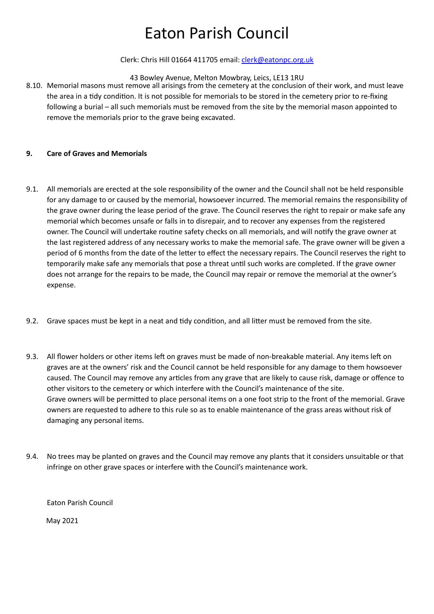#### Clerk: Chris Hill 01664 411705 email: [clerk@eatonpc.org.uk](mailto:clerk@eatonpc.org.uk)

#### 43 Bowley Avenue, Melton Mowbray, Leics, LE13 1RU

8.10. Memorial masons must remove all arisings from the cemetery at the conclusion of their work, and must leave the area in a tidy condition. It is not possible for memorials to be stored in the cemetery prior to re-fixing following a burial – all such memorials must be removed from the site by the memorial mason appointed to remove the memorials prior to the grave being excavated.

#### **9. Care of Graves and Memorials**

- 9.1. All memorials are erected at the sole responsibility of the owner and the Council shall not be held responsible for any damage to or caused by the memorial, howsoever incurred. The memorial remains the responsibility of the grave owner during the lease period of the grave. The Council reserves the right to repair or make safe any memorial which becomes unsafe or falls in to disrepair, and to recover any expenses from the registered owner. The Council will undertake routine safety checks on all memorials, and will notify the grave owner at the last registered address of any necessary works to make the memorial safe. The grave owner will be given a period of 6 months from the date of the letter to effect the necessary repairs. The Council reserves the right to temporarily make safe any memorials that pose a threat until such works are completed. If the grave owner does not arrange for the repairs to be made, the Council may repair or remove the memorial at the owner's expense.
- 9.2. Grave spaces must be kept in a neat and tidy condition, and all litter must be removed from the site.
- 9.3. All flower holders or other items left on graves must be made of non-breakable material. Any items left on graves are at the owners' risk and the Council cannot be held responsible for any damage to them howsoever caused. The Council may remove any articles from any grave that are likely to cause risk, damage or offence to other visitors to the cemetery or which interfere with the Council's maintenance of the site. Grave owners will be permitted to place personal items on a one foot strip to the front of the memorial. Grave owners are requested to adhere to this rule so as to enable maintenance of the grass areas without risk of damaging any personal items.
- 9.4. No trees may be planted on graves and the Council may remove any plants that it considers unsuitable or that infringe on other grave spaces or interfere with the Council's maintenance work.

Eaton Parish Council

May 2021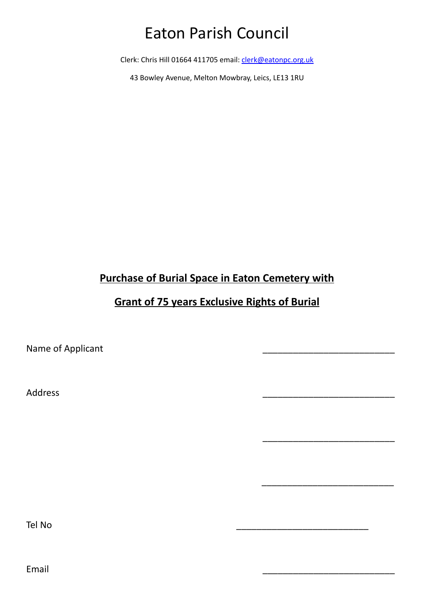Clerk: Chris Hill 01664 411705 email: [clerk@eatonpc.org.uk](mailto:clerk@eatonpc.org.uk)

43 Bowley Avenue, Melton Mowbray, Leics, LE13 1RU

## **Purchase of Burial Space in Eaton Cemetery with**

## **Grant of 75 years Exclusive Rights of Burial**

\_\_\_\_\_\_\_\_\_\_\_\_\_\_\_\_\_\_\_\_\_\_\_\_\_\_

 $\frac{1}{2}$  , and the set of the set of the set of the set of the set of the set of the set of the set of the set of the set of the set of the set of the set of the set of the set of the set of the set of the set of the set

Name of Applicant

Address \_\_\_\_\_\_\_\_\_\_\_\_\_\_\_\_\_\_\_\_\_\_\_\_\_\_

Tel No \_\_\_\_\_\_\_\_\_\_\_\_\_\_\_\_\_\_\_\_\_\_\_\_\_\_

Email \_\_\_\_\_\_\_\_\_\_\_\_\_\_\_\_\_\_\_\_\_\_\_\_\_\_